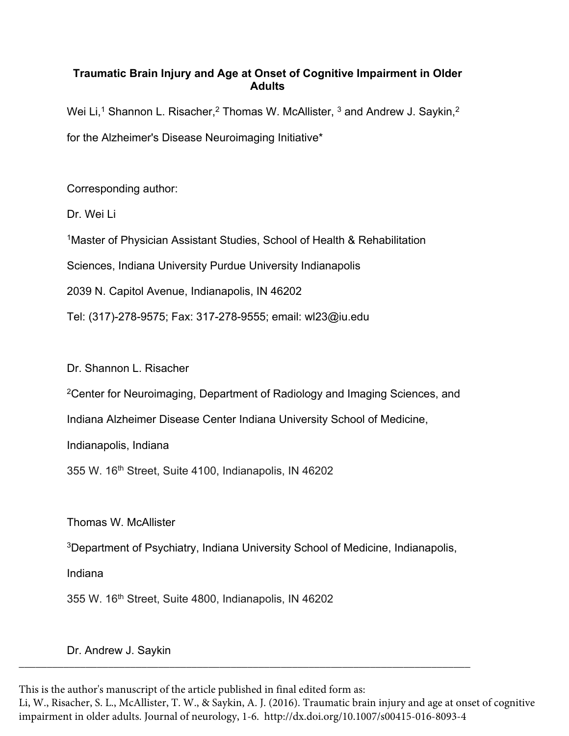# **Traumatic Brain Injury and Age at Onset of Cognitive Impairment in Older Adults**

Wei Li,<sup>1</sup> Shannon L. Risacher,<sup>2</sup> Thomas W. McAllister,  $3$  and Andrew J. Saykin,<sup>2</sup> for the Alzheimer's Disease Neuroimaging Initiative\*

Corresponding author:

Dr. Wei Li

<sup>1</sup> Master of Physician Assistant Studies, School of Health & Rehabilitation

Sciences, Indiana University Purdue University Indianapolis

2039 N. Capitol Avenue, Indianapolis, IN 46202

Tel: (317)-278-9575; Fax: 317-278-9555; email: wl23@iu.edu

Dr. Shannon L. Risacher

2Center for Neuroimaging, Department of Radiology and Imaging Sciences, and

Indiana Alzheimer Disease Center Indiana University School of Medicine,

Indianapolis, Indiana

355 W. 16th Street, Suite 4100, Indianapolis, IN 46202

Thomas W. McAllister

3Department of Psychiatry, Indiana University School of Medicine, Indianapolis,

\_\_\_\_\_\_\_\_\_\_\_\_\_\_\_\_\_\_\_\_\_\_\_\_\_\_\_\_\_\_\_\_\_\_\_\_\_\_\_\_\_\_\_\_\_\_\_\_\_\_\_\_\_\_\_\_\_\_\_\_\_\_\_\_\_\_\_\_\_\_\_\_\_\_\_\_\_\_\_\_\_

Indiana

355 W. 16th Street, Suite 4800, Indianapolis, IN 46202

Dr. Andrew J. Saykin

This is the author's manuscript of the article published in final edited form as:

Li, W., Risacher, S. L., McAllister, T. W., & Saykin, A. J. (2016). Traumatic brain injury and age at onset of cognitive impairment in older adults. Journal of neurology, 1-6[. http://dx.doi.org/10.1007/s00415-016-8093-4](http://dx.doi.org/10.1007/s00415-016-8093-4)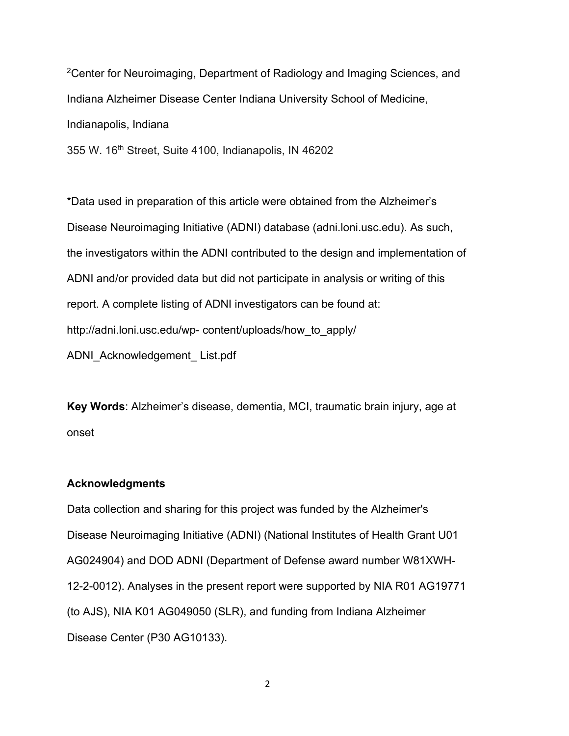2Center for Neuroimaging, Department of Radiology and Imaging Sciences, and Indiana Alzheimer Disease Center Indiana University School of Medicine, Indianapolis, Indiana

355 W. 16th Street, Suite 4100, Indianapolis, IN 46202

\*Data used in preparation of this article were obtained from the Alzheimer's Disease Neuroimaging Initiative (ADNI) database (adni.loni.usc.edu). As such, the investigators within the ADNI contributed to the design and implementation of ADNI and/or provided data but did not participate in analysis or writing of this report. A complete listing of ADNI investigators can be found at: http://adni.loni.usc.edu/wp- content/uploads/how\_to\_apply/ ADNI\_Acknowledgement\_ List.pdf

**Key Words**: Alzheimer's disease, dementia, MCI, traumatic brain injury, age at onset

# **Acknowledgments**

Data collection and sharing for this project was funded by the Alzheimer's Disease Neuroimaging Initiative (ADNI) (National Institutes of Health Grant U01 AG024904) and DOD ADNI (Department of Defense award number W81XWH-12-2-0012). Analyses in the present report were supported by NIA R01 AG19771 (to AJS), NIA K01 AG049050 (SLR), and funding from Indiana Alzheimer Disease Center (P30 AG10133).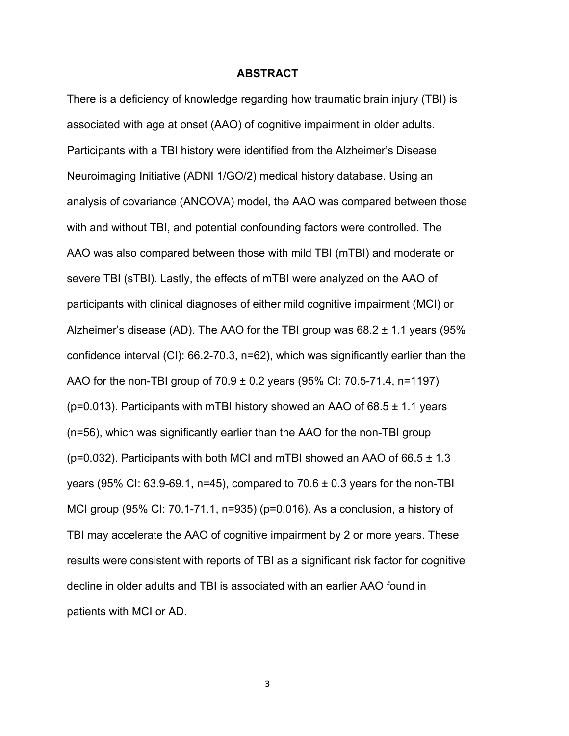## **ABSTRACT**

There is a deficiency of knowledge regarding how traumatic brain injury (TBI) is associated with age at onset (AAO) of cognitive impairment in older adults. Participants with a TBI history were identified from the Alzheimer's Disease Neuroimaging Initiative (ADNI 1/GO/2) medical history database. Using an analysis of covariance (ANCOVA) model, the AAO was compared between those with and without TBI, and potential confounding factors were controlled. The AAO was also compared between those with mild TBI (mTBI) and moderate or severe TBI (sTBI). Lastly, the effects of mTBI were analyzed on the AAO of participants with clinical diagnoses of either mild cognitive impairment (MCI) or Alzheimer's disease (AD). The AAO for the TBI group was  $68.2 \pm 1.1$  years (95%) confidence interval (CI): 66.2-70.3, n=62), which was significantly earlier than the AAO for the non-TBI group of  $70.9 \pm 0.2$  years (95% CI: 70.5-71.4, n=1197) ( $p=0.013$ ). Participants with mTBI history showed an AAO of 68.5  $\pm$  1.1 years (n=56), which was significantly earlier than the AAO for the non-TBI group ( $p=0.032$ ). Participants with both MCI and mTBI showed an AAO of 66.5  $\pm$  1.3 years (95% CI: 63.9-69.1, n=45), compared to  $70.6 \pm 0.3$  years for the non-TBI MCI group (95% CI: 70.1-71.1, n=935) (p=0.016). As a conclusion, a history of TBI may accelerate the AAO of cognitive impairment by 2 or more years. These results were consistent with reports of TBI as a significant risk factor for cognitive decline in older adults and TBI is associated with an earlier AAO found in patients with MCI or AD.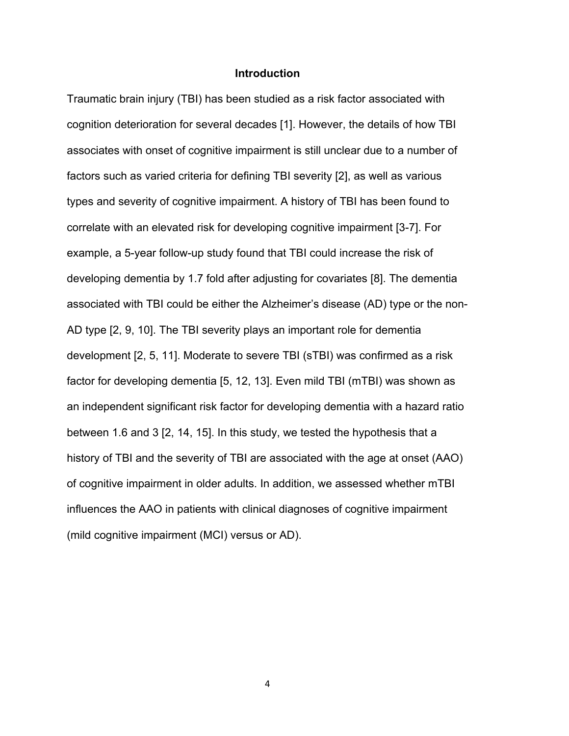## **Introduction**

Traumatic brain injury (TBI) has been studied as a risk factor associated with cognition deterioration for several decades [1]. However, the details of how TBI associates with onset of cognitive impairment is still unclear due to a number of factors such as varied criteria for defining TBI severity [2], as well as various types and severity of cognitive impairment. A history of TBI has been found to correlate with an elevated risk for developing cognitive impairment [3-7]. For example, a 5-year follow-up study found that TBI could increase the risk of developing dementia by 1.7 fold after adjusting for covariates [8]. The dementia associated with TBI could be either the Alzheimer's disease (AD) type or the non-AD type [2, 9, 10]. The TBI severity plays an important role for dementia development [2, 5, 11]. Moderate to severe TBI (sTBI) was confirmed as a risk factor for developing dementia [5, 12, 13]. Even mild TBI (mTBI) was shown as an independent significant risk factor for developing dementia with a hazard ratio between 1.6 and 3 [2, 14, 15]. In this study, we tested the hypothesis that a history of TBI and the severity of TBI are associated with the age at onset (AAO) of cognitive impairment in older adults. In addition, we assessed whether mTBI influences the AAO in patients with clinical diagnoses of cognitive impairment (mild cognitive impairment (MCI) versus or AD).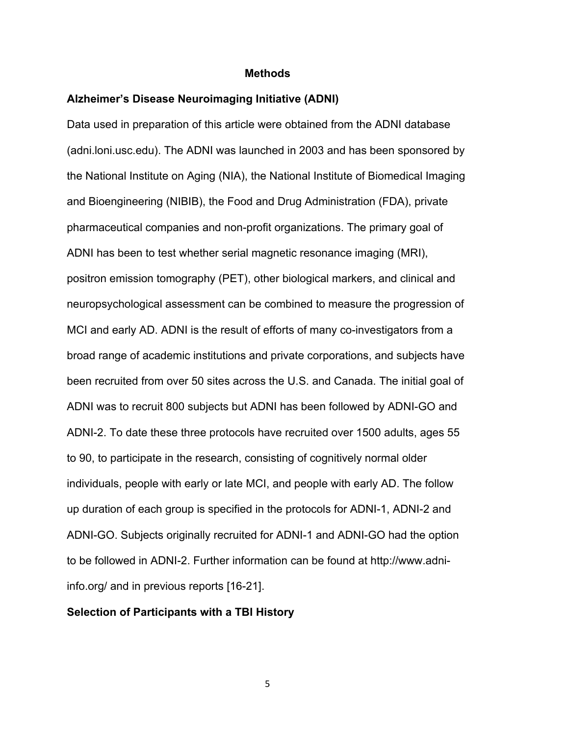#### **Methods**

# **Alzheimer's Disease Neuroimaging Initiative (ADNI)**

Data used in preparation of this article were obtained from the ADNI database (adni.loni.usc.edu). The ADNI was launched in 2003 and has been sponsored by the National Institute on Aging (NIA), the National Institute of Biomedical Imaging and Bioengineering (NIBIB), the Food and Drug Administration (FDA), private pharmaceutical companies and non-profit organizations. The primary goal of ADNI has been to test whether serial magnetic resonance imaging (MRI), positron emission tomography (PET), other biological markers, and clinical and neuropsychological assessment can be combined to measure the progression of MCI and early AD. ADNI is the result of efforts of many co-investigators from a broad range of academic institutions and private corporations, and subjects have been recruited from over 50 sites across the U.S. and Canada. The initial goal of ADNI was to recruit 800 subjects but ADNI has been followed by ADNI-GO and ADNI-2. To date these three protocols have recruited over 1500 adults, ages 55 to 90, to participate in the research, consisting of cognitively normal older individuals, people with early or late MCI, and people with early AD. The follow up duration of each group is specified in the protocols for ADNI-1, ADNI-2 and ADNI-GO. Subjects originally recruited for ADNI-1 and ADNI-GO had the option to be followed in ADNI-2. Further information can be found at http://www.adniinfo.org/ and in previous reports [16-21].

### **Selection of Participants with a TBI History**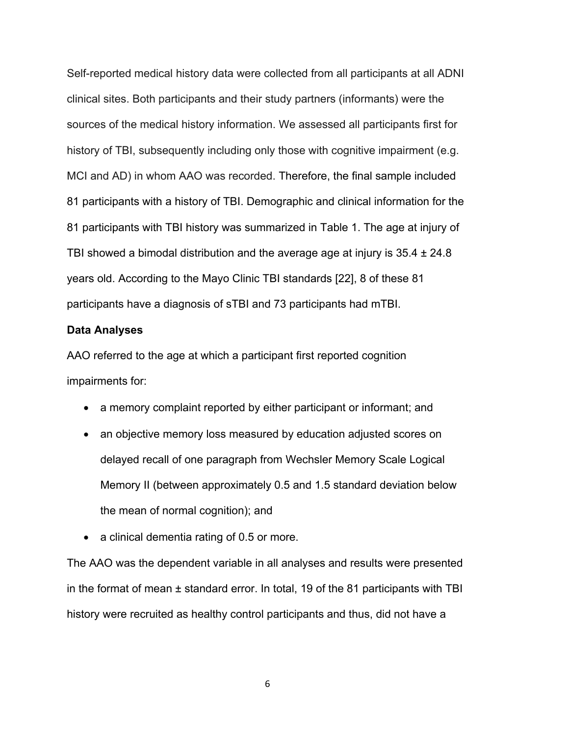Self-reported medical history data were collected from all participants at all ADNI clinical sites. Both participants and their study partners (informants) were the sources of the medical history information. We assessed all participants first for history of TBI, subsequently including only those with cognitive impairment (e.g. MCI and AD) in whom AAO was recorded. Therefore, the final sample included 81 participants with a history of TBI. Demographic and clinical information for the 81 participants with TBI history was summarized in Table 1. The age at injury of TBI showed a bimodal distribution and the average age at injury is  $35.4 \pm 24.8$ years old. According to the Mayo Clinic TBI standards [22], 8 of these 81 participants have a diagnosis of sTBI and 73 participants had mTBI.

### **Data Analyses**

AAO referred to the age at which a participant first reported cognition impairments for:

- a memory complaint reported by either participant or informant; and
- an objective memory loss measured by education adjusted scores on delayed recall of one paragraph from Wechsler Memory Scale Logical Memory II (between approximately 0.5 and 1.5 standard deviation below the mean of normal cognition); and
- a clinical dementia rating of 0.5 or more.

The AAO was the dependent variable in all analyses and results were presented in the format of mean  $\pm$  standard error. In total, 19 of the 81 participants with TBI history were recruited as healthy control participants and thus, did not have a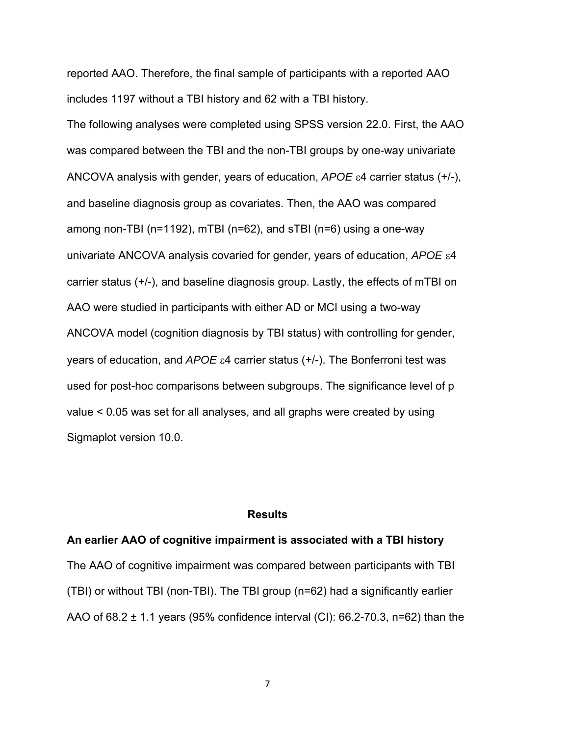reported AAO. Therefore, the final sample of participants with a reported AAO includes 1197 without a TBI history and 62 with a TBI history.

The following analyses were completed using SPSS version 22.0. First, the AAO was compared between the TBI and the non-TBI groups by one-way univariate ANCOVA analysis with gender, years of education,  $APOE \epsilon 4$  carrier status  $(+/-)$ , and baseline diagnosis group as covariates. Then, the AAO was compared among non-TBI (n=1192), mTBI (n=62), and sTBI (n=6) using a one-way univariate ANCOVA analysis covaried for gender, years of education, APOE  $\varepsilon$ 4 carrier status (+/-), and baseline diagnosis group. Lastly, the effects of mTBI on AAO were studied in participants with either AD or MCI using a two-way ANCOVA model (cognition diagnosis by TBI status) with controlling for gender, years of education, and *APOE*  $\varepsilon$ 4 carrier status (+/-). The Bonferroni test was used for post-hoc comparisons between subgroups. The significance level of p value < 0.05 was set for all analyses, and all graphs were created by using Sigmaplot version 10.0.

### **Results**

#### **An earlier AAO of cognitive impairment is associated with a TBI history**

The AAO of cognitive impairment was compared between participants with TBI (TBI) or without TBI (non-TBI). The TBI group (n=62) had a significantly earlier AAO of 68.2 ± 1.1 years (95% confidence interval (CI): 66.2-70.3, n=62) than the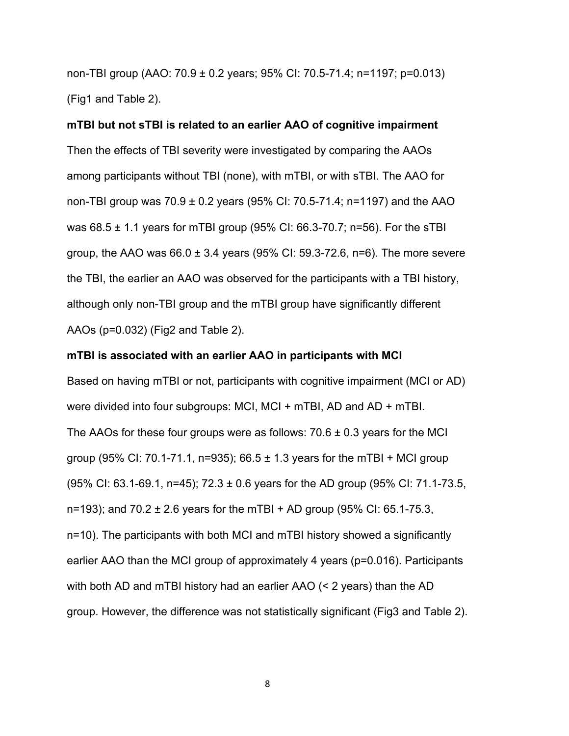non-TBI group (AAO: 70.9 ± 0.2 years; 95% CI: 70.5-71.4; n=1197; p=0.013) (Fig1 and Table 2).

**mTBI but not sTBI is related to an earlier AAO of cognitive impairment**  Then the effects of TBI severity were investigated by comparing the AAOs among participants without TBI (none), with mTBI, or with sTBI. The AAO for non-TBI group was 70.9 ± 0.2 years (95% CI: 70.5-71.4; n=1197) and the AAO was 68.5 ± 1.1 years for mTBI group (95% CI: 66.3-70.7; n=56). For the sTBI group, the AAO was  $66.0 \pm 3.4$  years (95% CI: 59.3-72.6, n=6). The more severe the TBI, the earlier an AAO was observed for the participants with a TBI history, although only non-TBI group and the mTBI group have significantly different AAOs (p=0.032) (Fig2 and Table 2).

## **mTBI is associated with an earlier AAO in participants with MCI**

Based on having mTBI or not, participants with cognitive impairment (MCI or AD) were divided into four subgroups: MCI, MCI + mTBI, AD and AD + mTBI. The AAOs for these four groups were as follows:  $70.6 \pm 0.3$  years for the MCI group (95% CI: 70.1-71.1, n=935);  $66.5 \pm 1.3$  years for the mTBI + MCI group (95% CI: 63.1-69.1, n=45); 72.3 ± 0.6 years for the AD group (95% CI: 71.1-73.5, n=193); and  $70.2 \pm 2.6$  years for the mTBI + AD group (95% CI: 65.1-75.3, n=10). The participants with both MCI and mTBI history showed a significantly earlier AAO than the MCI group of approximately 4 years (p=0.016). Participants with both AD and mTBI history had an earlier AAO (< 2 years) than the AD group. However, the difference was not statistically significant (Fig3 and Table 2).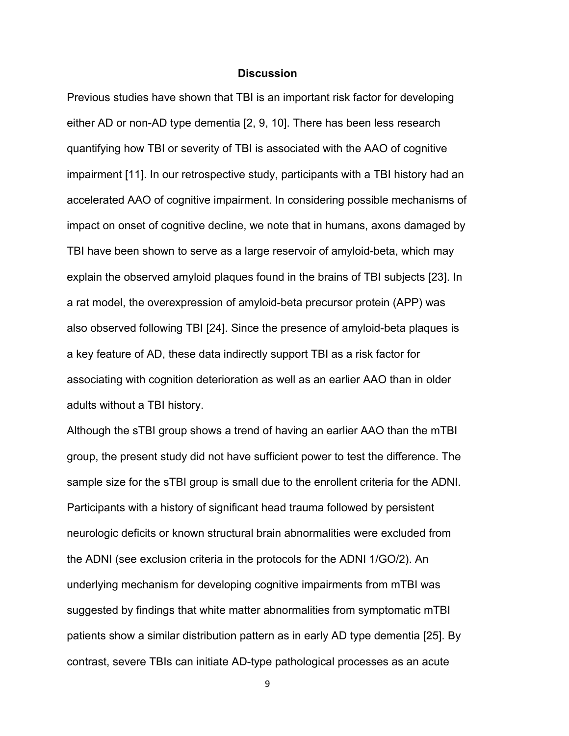## **Discussion**

Previous studies have shown that TBI is an important risk factor for developing either AD or non-AD type dementia [2, 9, 10]. There has been less research quantifying how TBI or severity of TBI is associated with the AAO of cognitive impairment [11]. In our retrospective study, participants with a TBI history had an accelerated AAO of cognitive impairment. In considering possible mechanisms of impact on onset of cognitive decline, we note that in humans, axons damaged by TBI have been shown to serve as a large reservoir of amyloid-beta, which may explain the observed amyloid plaques found in the brains of TBI subjects [23]. In a rat model, the overexpression of amyloid-beta precursor protein (APP) was also observed following TBI [24]. Since the presence of amyloid-beta plaques is a key feature of AD, these data indirectly support TBI as a risk factor for associating with cognition deterioration as well as an earlier AAO than in older adults without a TBI history.

Although the sTBI group shows a trend of having an earlier AAO than the mTBI group, the present study did not have sufficient power to test the difference. The sample size for the sTBI group is small due to the enrollent criteria for the ADNI. Participants with a history of significant head trauma followed by persistent neurologic deficits or known structural brain abnormalities were excluded from the ADNI (see exclusion criteria in the protocols for the ADNI 1/GO/2). An underlying mechanism for developing cognitive impairments from mTBI was suggested by findings that white matter abnormalities from symptomatic mTBI patients show a similar distribution pattern as in early AD type dementia [25]. By contrast, severe TBIs can initiate AD-type pathological processes as an acute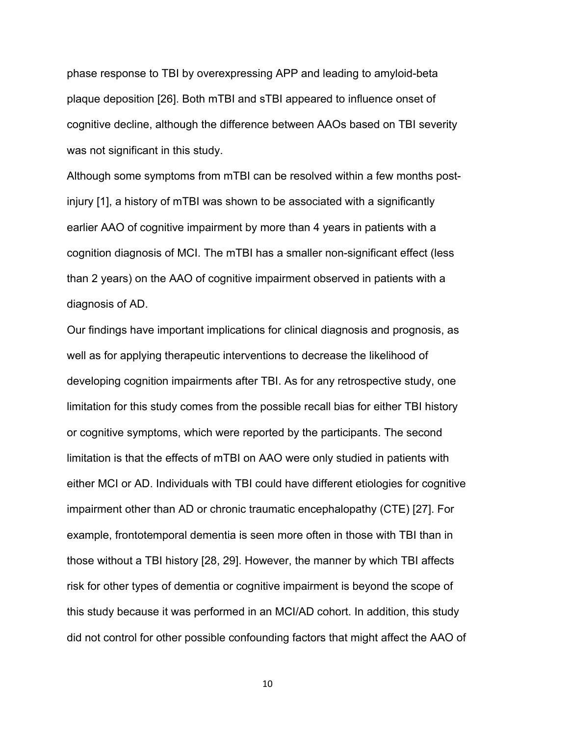phase response to TBI by overexpressing APP and leading to amyloid-beta plaque deposition [26]. Both mTBI and sTBI appeared to influence onset of cognitive decline, although the difference between AAOs based on TBI severity was not significant in this study.

Although some symptoms from mTBI can be resolved within a few months postinjury [1], a history of mTBI was shown to be associated with a significantly earlier AAO of cognitive impairment by more than 4 years in patients with a cognition diagnosis of MCI. The mTBI has a smaller non-significant effect (less than 2 years) on the AAO of cognitive impairment observed in patients with a diagnosis of AD.

Our findings have important implications for clinical diagnosis and prognosis, as well as for applying therapeutic interventions to decrease the likelihood of developing cognition impairments after TBI. As for any retrospective study, one limitation for this study comes from the possible recall bias for either TBI history or cognitive symptoms, which were reported by the participants. The second limitation is that the effects of mTBI on AAO were only studied in patients with either MCI or AD. Individuals with TBI could have different etiologies for cognitive impairment other than AD or chronic traumatic encephalopathy (CTE) [27]. For example, frontotemporal dementia is seen more often in those with TBI than in those without a TBI history [28, 29]. However, the manner by which TBI affects risk for other types of dementia or cognitive impairment is beyond the scope of this study because it was performed in an MCI/AD cohort. In addition, this study did not control for other possible confounding factors that might affect the AAO of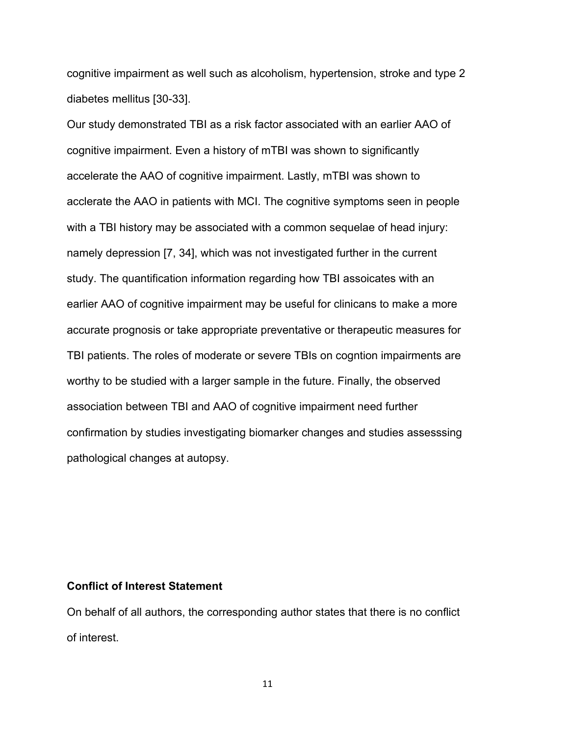cognitive impairment as well such as alcoholism, hypertension, stroke and type 2 diabetes mellitus [30-33].

Our study demonstrated TBI as a risk factor associated with an earlier AAO of cognitive impairment. Even a history of mTBI was shown to significantly accelerate the AAO of cognitive impairment. Lastly, mTBI was shown to acclerate the AAO in patients with MCI. The cognitive symptoms seen in people with a TBI history may be associated with a common sequelae of head injury: namely depression [7, 34], which was not investigated further in the current study. The quantification information regarding how TBI assoicates with an earlier AAO of cognitive impairment may be useful for clinicans to make a more accurate prognosis or take appropriate preventative or therapeutic measures for TBI patients. The roles of moderate or severe TBIs on cogntion impairments are worthy to be studied with a larger sample in the future. Finally, the observed association between TBI and AAO of cognitive impairment need further confirmation by studies investigating biomarker changes and studies assesssing pathological changes at autopsy.

#### **Conflict of Interest Statement**

On behalf of all authors, the corresponding author states that there is no conflict of interest.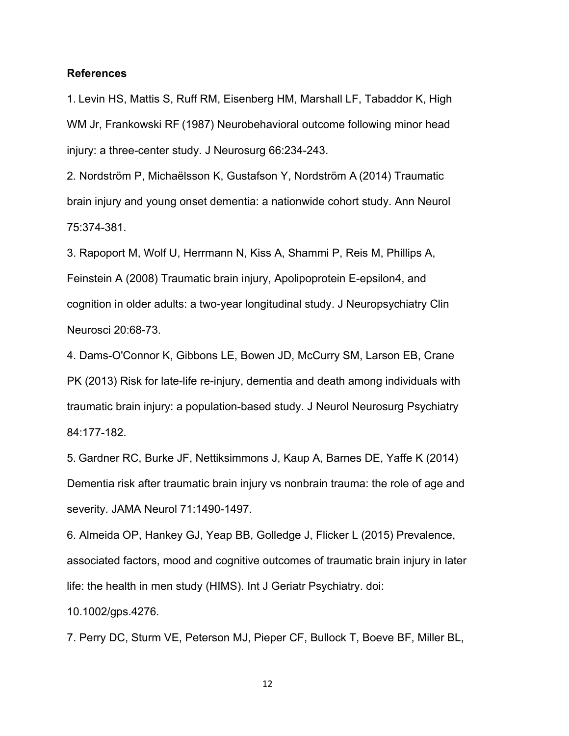### **References**

1. Levin HS, Mattis S, Ruff RM, Eisenberg HM, Marshall LF, Tabaddor K, High WM Jr, Frankowski RF (1987) Neurobehavioral outcome following minor head injury: a three-center study. J Neurosurg 66:234-243.

2. Nordström P, Michaëlsson K, Gustafson Y, Nordström A (2014) Traumatic brain injury and young onset dementia: a nationwide cohort study. Ann Neurol 75:374-381.

3. Rapoport M, Wolf U, Herrmann N, Kiss A, Shammi P, Reis M, Phillips A, Feinstein A (2008) Traumatic brain injury, Apolipoprotein E-epsilon4, and cognition in older adults: a two-year longitudinal study. J Neuropsychiatry Clin Neurosci 20:68-73.

4. Dams-O'Connor K, Gibbons LE, Bowen JD, McCurry SM, Larson EB, Crane PK (2013) Risk for late-life re-injury, dementia and death among individuals with traumatic brain injury: a population-based study. J Neurol Neurosurg Psychiatry 84:177-182.

5. Gardner RC, Burke JF, Nettiksimmons J, Kaup A, Barnes DE, Yaffe K (2014) Dementia risk after traumatic brain injury vs nonbrain trauma: the role of age and severity. JAMA Neurol 71:1490-1497.

6. Almeida OP, Hankey GJ, Yeap BB, Golledge J, Flicker L (2015) Prevalence, associated factors, mood and cognitive outcomes of traumatic brain injury in later life: the health in men study (HIMS). Int J Geriatr Psychiatry. doi:

10.1002/gps.4276.

7. Perry DC, Sturm VE, Peterson MJ, Pieper CF, Bullock T, Boeve BF, Miller BL,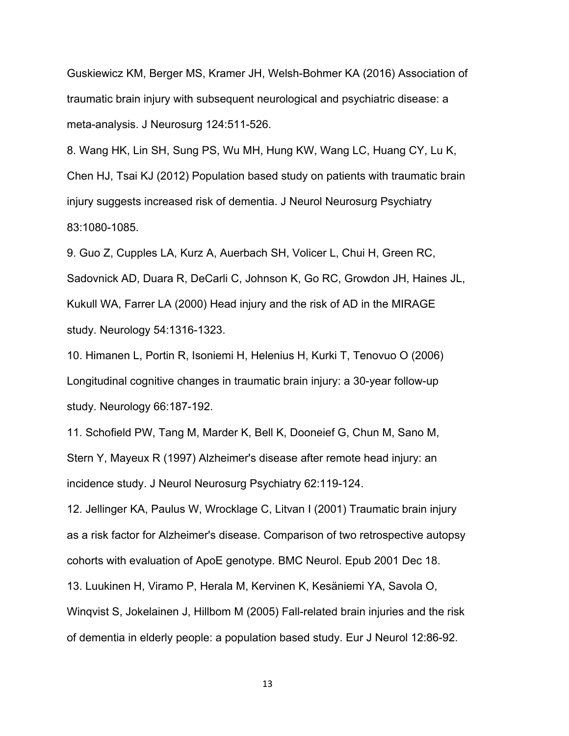Guskiewicz KM, Berger MS, Kramer JH, Welsh-Bohmer KA (2016) Association of traumatic brain injury with subsequent neurological and psychiatric disease: a meta-analysis. J Neurosurg 124:511-526.

8. Wang HK, Lin SH, Sung PS, Wu MH, Hung KW, Wang LC, Huang CY, Lu K, Chen HJ, Tsai KJ (2012) Population based study on patients with traumatic brain injury suggests increased risk of dementia. J Neurol Neurosurg Psychiatry 83:1080-1085.

9. Guo Z, Cupples LA, Kurz A, Auerbach SH, Volicer L, Chui H, Green RC, Sadovnick AD, Duara R, DeCarli C, Johnson K, Go RC, Growdon JH, Haines JL, Kukull WA, Farrer LA (2000) Head injury and the risk of AD in the MIRAGE study. Neurology 54:1316-1323.

10. Himanen L, Portin R, Isoniemi H, Helenius H, Kurki T, Tenovuo O (2006) Longitudinal cognitive changes in traumatic brain injury: a 30-year follow-up study. Neurology 66:187-192.

11. Schofield PW, Tang M, Marder K, Bell K, Dooneief G, Chun M, Sano M, Stern Y, Mayeux R (1997) Alzheimer's disease after remote head injury: an incidence study. J Neurol Neurosurg Psychiatry 62:119-124.

12. Jellinger KA, Paulus W, Wrocklage C, Litvan I (2001) Traumatic brain injury as a risk factor for Alzheimer's disease. Comparison of two retrospective autopsy cohorts with evaluation of ApoE genotype. BMC Neurol. Epub 2001 Dec 18.

13. Luukinen H, Viramo P, Herala M, Kervinen K, Kesäniemi YA, Savola O,

Winqvist S, Jokelainen J, Hillbom M (2005) Fall-related brain injuries and the risk of dementia in elderly people: a population based study. Eur J Neurol 12:86-92.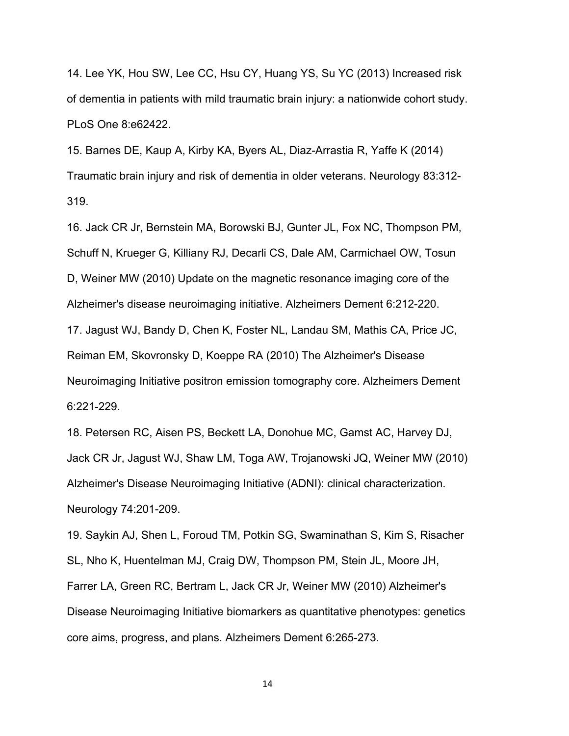14. Lee YK, Hou SW, Lee CC, Hsu CY, Huang YS, Su YC (2013) Increased risk of dementia in patients with mild traumatic brain injury: a nationwide cohort study. PLoS One 8:e62422.

15. Barnes DE, Kaup A, Kirby KA, Byers AL, Diaz-Arrastia R, Yaffe K (2014) Traumatic brain injury and risk of dementia in older veterans. Neurology 83:312- 319.

16. Jack CR Jr, Bernstein MA, Borowski BJ, Gunter JL, Fox NC, Thompson PM, Schuff N, Krueger G, Killiany RJ, Decarli CS, Dale AM, Carmichael OW, Tosun D, Weiner MW (2010) Update on the magnetic resonance imaging core of the Alzheimer's disease neuroimaging initiative. Alzheimers Dement 6:212-220. 17. Jagust WJ, Bandy D, Chen K, Foster NL, Landau SM, Mathis CA, Price JC, Reiman EM, Skovronsky D, Koeppe RA (2010) The Alzheimer's Disease Neuroimaging Initiative positron emission tomography core. Alzheimers Dement

6:221-229.

18. Petersen RC, Aisen PS, Beckett LA, Donohue MC, Gamst AC, Harvey DJ, Jack CR Jr, Jagust WJ, Shaw LM, Toga AW, Trojanowski JQ, Weiner MW (2010) Alzheimer's Disease Neuroimaging Initiative (ADNI): clinical characterization. Neurology 74:201-209.

19. Saykin AJ, Shen L, Foroud TM, Potkin SG, Swaminathan S, Kim S, Risacher SL, Nho K, Huentelman MJ, Craig DW, Thompson PM, Stein JL, Moore JH, Farrer LA, Green RC, Bertram L, Jack CR Jr, Weiner MW (2010) Alzheimer's Disease Neuroimaging Initiative biomarkers as quantitative phenotypes: genetics core aims, progress, and plans. Alzheimers Dement 6:265-273.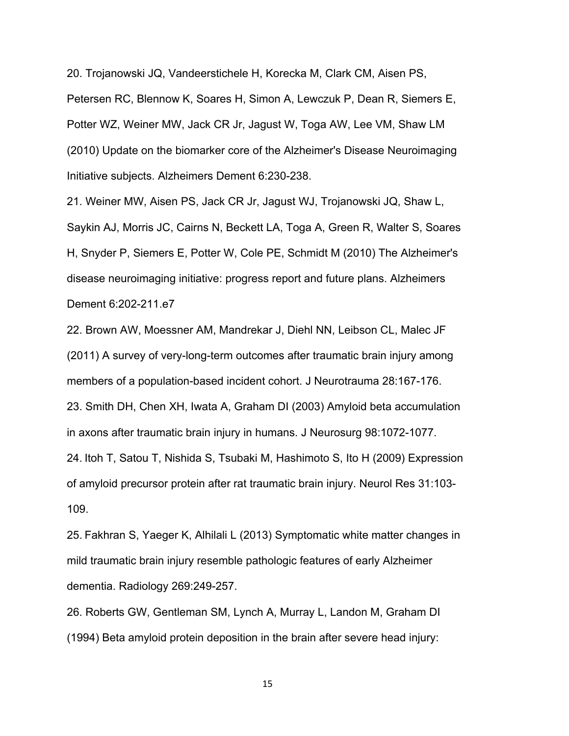20. Trojanowski JQ, Vandeerstichele H, Korecka M, Clark CM, Aisen PS, Petersen RC, Blennow K, Soares H, Simon A, Lewczuk P, Dean R, Siemers E, Potter WZ, Weiner MW, Jack CR Jr, Jagust W, Toga AW, Lee VM, Shaw LM (2010) Update on the biomarker core of the Alzheimer's Disease Neuroimaging Initiative subjects. Alzheimers Dement 6:230-238.

21. Weiner MW, Aisen PS, Jack CR Jr, Jagust WJ, Trojanowski JQ, Shaw L, Saykin AJ, Morris JC, Cairns N, Beckett LA, Toga A, Green R, Walter S, Soares H, Snyder P, Siemers E, Potter W, Cole PE, Schmidt M (2010) The Alzheimer's disease neuroimaging initiative: progress report and future plans. Alzheimers Dement 6:202-211.e7

22. Brown AW, Moessner AM, Mandrekar J, Diehl NN, Leibson CL, Malec JF (2011) A survey of very-long-term outcomes after traumatic brain injury among members of a population-based incident cohort. J Neurotrauma 28:167-176. 23. Smith DH, Chen XH, Iwata A, Graham DI (2003) Amyloid beta accumulation in axons after traumatic brain injury in humans. J Neurosurg 98:1072-1077. 24. Itoh T, Satou T, Nishida S, Tsubaki M, Hashimoto S, Ito H (2009) Expression of amyloid precursor protein after rat traumatic brain injury. Neurol Res 31:103- 109.

25. Fakhran S, Yaeger K, Alhilali L (2013) Symptomatic white matter changes in mild traumatic brain injury resemble pathologic features of early Alzheimer dementia. Radiology 269:249-257.

26. Roberts GW, Gentleman SM, Lynch A, Murray L, Landon M, Graham DI (1994) Beta amyloid protein deposition in the brain after severe head injury: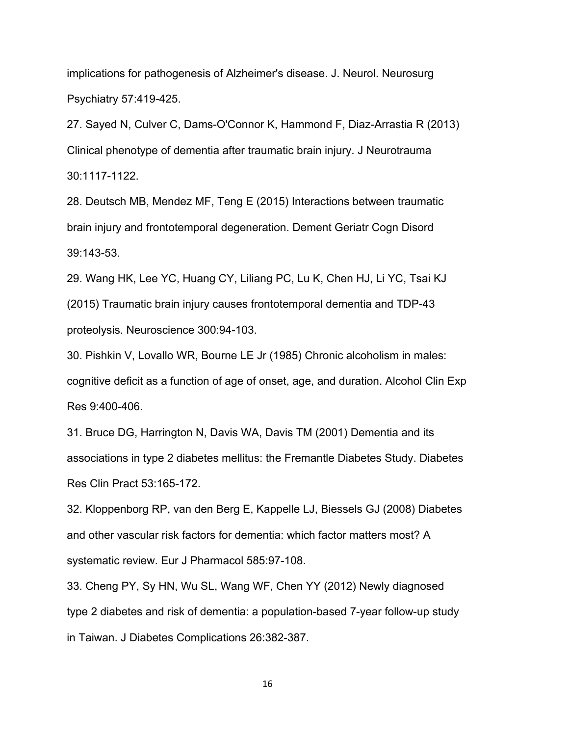implications for pathogenesis of Alzheimer's disease. J. Neurol. Neurosurg Psychiatry 57:419-425.

27. Sayed N, Culver C, Dams-O'Connor K, Hammond F, Diaz-Arrastia R (2013) Clinical phenotype of dementia after traumatic brain injury. J Neurotrauma 30:1117-1122.

28. Deutsch MB, Mendez MF, Teng E (2015) Interactions between traumatic brain injury and frontotemporal degeneration. Dement Geriatr Cogn Disord 39:143-53.

29. Wang HK, Lee YC, Huang CY, Liliang PC, Lu K, Chen HJ, Li YC, Tsai KJ (2015) Traumatic brain injury causes frontotemporal dementia and TDP-43 proteolysis. Neuroscience 300:94-103.

30. Pishkin V, Lovallo WR, Bourne LE Jr (1985) Chronic alcoholism in males: cognitive deficit as a function of age of onset, age, and duration. Alcohol Clin Exp Res 9:400-406.

31. Bruce DG, Harrington N, Davis WA, Davis TM (2001) Dementia and its associations in type 2 diabetes mellitus: the Fremantle Diabetes Study. Diabetes Res Clin Pract 53:165-172.

32. Kloppenborg RP, van den Berg E, Kappelle LJ, Biessels GJ (2008) Diabetes and other vascular risk factors for dementia: which factor matters most? A systematic review. Eur J Pharmacol 585:97-108.

33. Cheng PY, Sy HN, Wu SL, Wang WF, Chen YY (2012) Newly diagnosed type 2 diabetes and risk of dementia: a population-based 7-year follow-up study in Taiwan. J Diabetes Complications 26:382-387.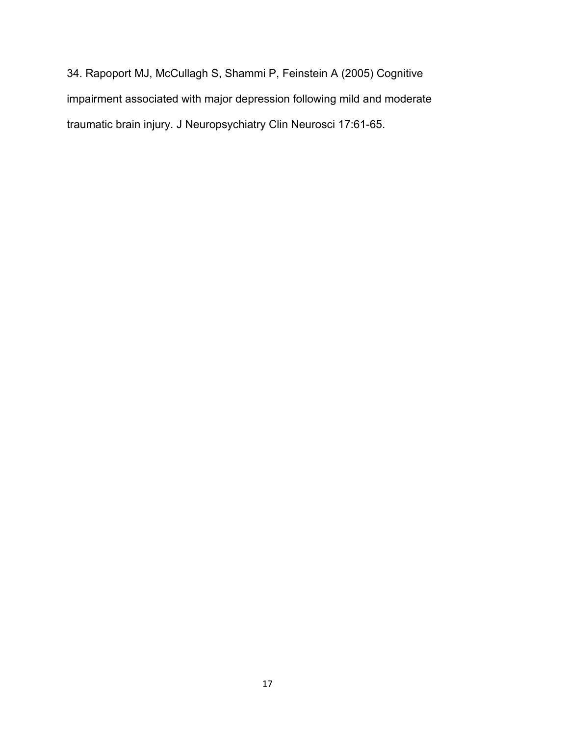34. Rapoport MJ, McCullagh S, Shammi P, Feinstein A (2005) Cognitive impairment associated with major depression following mild and moderate traumatic brain injury. J Neuropsychiatry Clin Neurosci 17:61-65.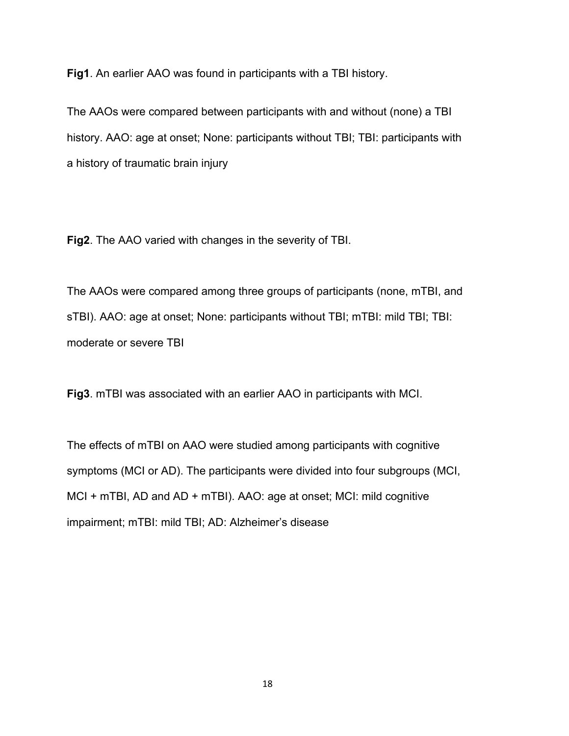**Fig1**. An earlier AAO was found in participants with a TBI history.

The AAOs were compared between participants with and without (none) a TBI history. AAO: age at onset; None: participants without TBI; TBI: participants with a history of traumatic brain injury

**Fig2**. The AAO varied with changes in the severity of TBI.

The AAOs were compared among three groups of participants (none, mTBI, and sTBI). AAO: age at onset; None: participants without TBI; mTBI: mild TBI; TBI: moderate or severe TBI

**Fig3**. mTBI was associated with an earlier AAO in participants with MCI.

The effects of mTBI on AAO were studied among participants with cognitive symptoms (MCI or AD). The participants were divided into four subgroups (MCI, MCI + mTBI, AD and AD + mTBI). AAO: age at onset; MCI: mild cognitive impairment; mTBI: mild TBI; AD: Alzheimer's disease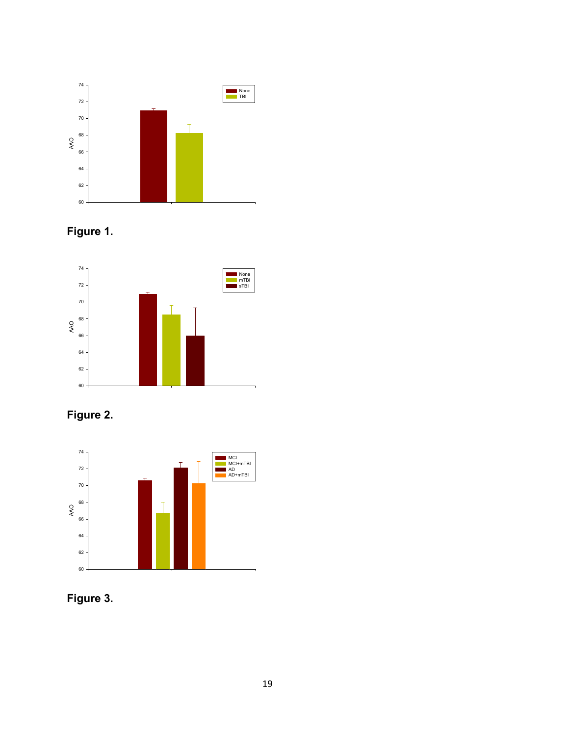





**Figure 2.** 



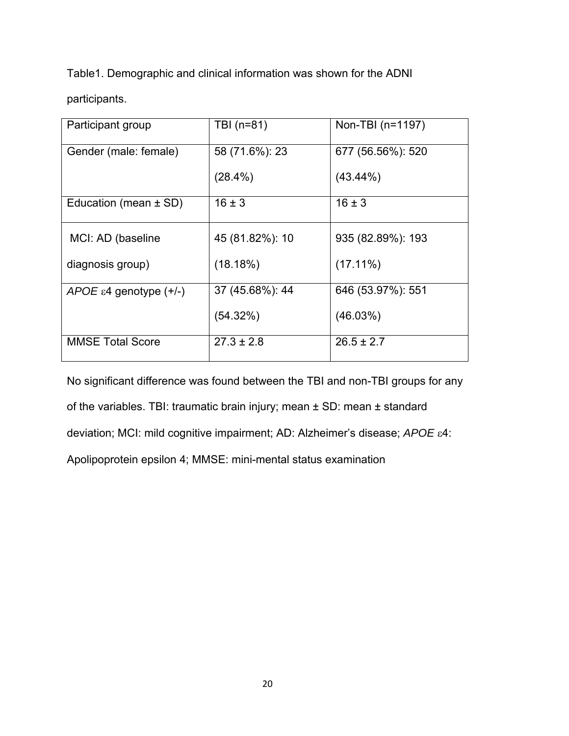Table1. Demographic and clinical information was shown for the ADNI

participants.

| Participant group                     | TBI (n=81)      | Non-TBI (n=1197)  |
|---------------------------------------|-----------------|-------------------|
| Gender (male: female)                 | 58 (71.6%): 23  | 677 (56.56%): 520 |
|                                       | $(28.4\%)$      | $(43.44\%)$       |
| Education (mean $\pm$ SD)             | $16 \pm 3$      | $16 \pm 3$        |
| MCI: AD (baseline                     | 45 (81.82%): 10 | 935 (82.89%): 193 |
| diagnosis group)                      | (18.18%)        | $(17.11\%)$       |
| APOE $\varepsilon$ 4 genotype $(+/-)$ | 37 (45.68%): 44 | 646 (53.97%): 551 |
|                                       | (54.32%)        | (46.03%)          |
| <b>MMSE Total Score</b>               | $27.3 \pm 2.8$  | $26.5 \pm 2.7$    |

No significant difference was found between the TBI and non-TBI groups for any of the variables. TBI: traumatic brain injury; mean ± SD: mean ± standard deviation; MCI: mild cognitive impairment; AD: Alzheimer's disease; *APOE* 4: Apolipoprotein epsilon 4; MMSE: mini-mental status examination